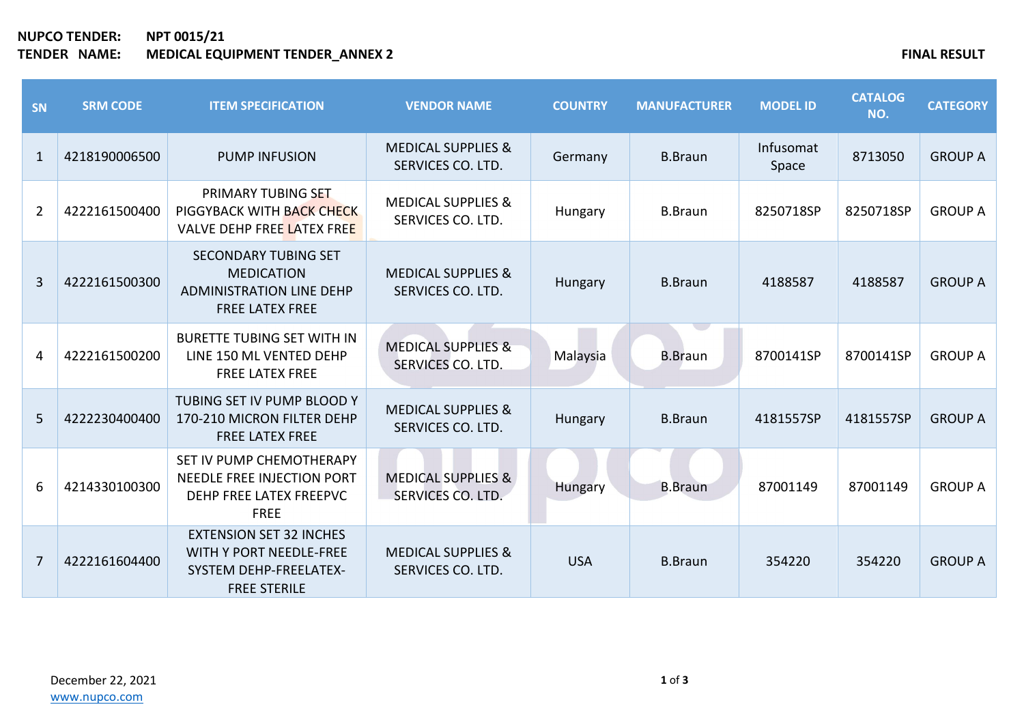## **NUPCO TENDER: NPT 0015/21 TENDER NAME: MEDICAL EQUIPMENT TENDER\_ANNEX 2 FINAL RESULT**

| <b>SN</b>      | <b>SRM CODE</b> | <b>ITEM SPECIFICATION</b>                                                                                                | <b>VENDOR NAME</b>                                 | <b>COUNTRY</b> | <b>MANUFACTURER</b> | <b>MODEL ID</b>    | <b>CATALOG</b><br>NO. | <b>CATEGORY</b> |
|----------------|-----------------|--------------------------------------------------------------------------------------------------------------------------|----------------------------------------------------|----------------|---------------------|--------------------|-----------------------|-----------------|
| $\mathbf{1}$   | 4218190006500   | <b>PUMP INFUSION</b>                                                                                                     | <b>MEDICAL SUPPLIES &amp;</b><br>SERVICES CO. LTD. | Germany        | <b>B.Braun</b>      | Infusomat<br>Space | 8713050               | <b>GROUP A</b>  |
| $\overline{2}$ | 4222161500400   | PRIMARY TUBING SET<br>PIGGYBACK WITH BACK CHECK<br>VALVE DEHP FREE LATEX FREE                                            | <b>MEDICAL SUPPLIES &amp;</b><br>SERVICES CO. LTD. | Hungary        | <b>B.Braun</b>      | 8250718SP          | 8250718SP             | <b>GROUP A</b>  |
| 3              | 4222161500300   | <b>SECONDARY TUBING SET</b><br><b>MEDICATION</b><br><b>ADMINISTRATION LINE DEHP</b><br><b>FREE LATEX FREE</b>            | <b>MEDICAL SUPPLIES &amp;</b><br>SERVICES CO. LTD. | Hungary        | <b>B.Braun</b>      | 4188587            | 4188587               | <b>GROUP A</b>  |
| 4              | 4222161500200   | <b>BURETTE TUBING SET WITH IN</b><br>LINE 150 ML VENTED DEHP<br><b>FREE LATEX FREE</b>                                   | <b>MEDICAL SUPPLIES &amp;</b><br>SERVICES CO. LTD. | Malaysia       | <b>B.Braun</b>      | 8700141SP          | 8700141SP             | <b>GROUP A</b>  |
| 5              | 4222230400400   | TUBING SET IV PUMP BLOOD Y<br>170-210 MICRON FILTER DEHP<br><b>FREE LATEX FREE</b>                                       | <b>MEDICAL SUPPLIES &amp;</b><br>SERVICES CO. LTD. | Hungary        | <b>B.Braun</b>      | 4181557SP          | 4181557SP             | <b>GROUP A</b>  |
| 6              | 4214330100300   | SET IV PUMP CHEMOTHERAPY<br>NEEDLE FREE INJECTION PORT<br>DEHP FREE LATEX FREEPVC<br><b>FREE</b>                         | <b>MEDICAL SUPPLIES &amp;</b><br>SERVICES CO. LTD. | Hungary        | <b>B.Braun</b>      | 87001149           | 87001149              | <b>GROUP A</b>  |
| $\overline{7}$ | 4222161604400   | <b>EXTENSION SET 32 INCHES</b><br><b>WITH Y PORT NEEDLE-FREE</b><br><b>SYSTEM DEHP-FREELATEX-</b><br><b>FREE STERILE</b> | <b>MEDICAL SUPPLIES &amp;</b><br>SERVICES CO. LTD. | <b>USA</b>     | <b>B.Braun</b>      | 354220             | 354220                | <b>GROUP A</b>  |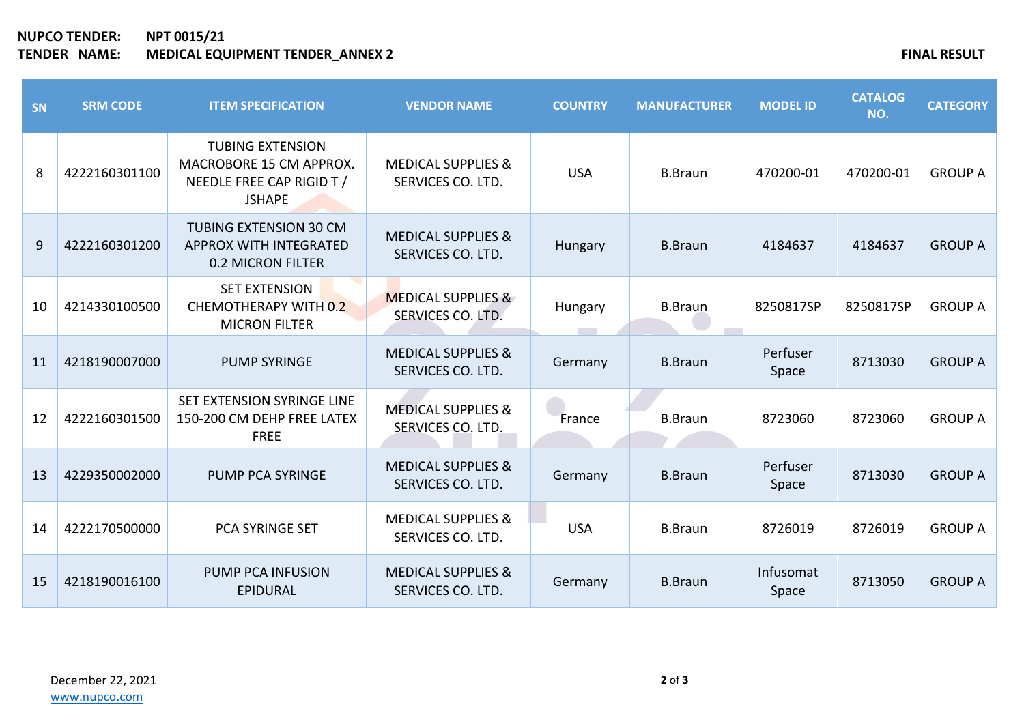**NUPCO TENDER: NPT 0015/21 TENDER NAME: MEDICAL EQUIPMENT TENDER\_ANNEX 2 FINAL RESULT**

| SN | <b>SRM CODE</b> | <b>ITEM SPECIFICATION</b>                                                                        | <b>VENDOR NAME</b>                                 | <b>COUNTRY</b> | <b>MANUFACTURER</b> | <b>MODEL ID</b>    | <b>CATALOG</b><br>NO. | <b>CATEGORY</b> |
|----|-----------------|--------------------------------------------------------------------------------------------------|----------------------------------------------------|----------------|---------------------|--------------------|-----------------------|-----------------|
| 8  | 4222160301100   | <b>TUBING EXTENSION</b><br>MACROBORE 15 CM APPROX.<br>NEEDLE FREE CAP RIGID T /<br><b>JSHAPE</b> | <b>MEDICAL SUPPLIES &amp;</b><br>SERVICES CO. LTD. | <b>USA</b>     | <b>B.Braun</b>      | 470200-01          | 470200-01             | <b>GROUP A</b>  |
| 9  | 4222160301200   | TUBING EXTENSION 30 CM<br><b>APPROX WITH INTEGRATED</b><br><b>0.2 MICRON FILTER</b>              | <b>MEDICAL SUPPLIES &amp;</b><br>SERVICES CO. LTD. | Hungary        | <b>B.Braun</b>      | 4184637            | 4184637               | <b>GROUP A</b>  |
| 10 | 4214330100500   | <b>SET EXTENSION</b><br><b>CHEMOTHERAPY WITH 0.2</b><br><b>MICRON FILTER</b>                     | <b>MEDICAL SUPPLIES &amp;</b><br>SERVICES CO. LTD. | Hungary        | <b>B.Braun</b>      | 8250817SP          | 8250817SP             | <b>GROUP A</b>  |
| 11 | 4218190007000   | <b>PUMP SYRINGE</b>                                                                              | <b>MEDICAL SUPPLIES &amp;</b><br>SERVICES CO. LTD. | Germany        | <b>B.Braun</b>      | Perfuser<br>Space  | 8713030               | <b>GROUP A</b>  |
| 12 | 4222160301500   | SET EXTENSION SYRINGE LINE<br>150-200 CM DEHP FREE LATEX<br><b>FREE</b>                          | <b>MEDICAL SUPPLIES &amp;</b><br>SERVICES CO. LTD. | France         | <b>B.Braun</b>      | 8723060            | 8723060               | <b>GROUP A</b>  |
| 13 | 4229350002000   | <b>PUMP PCA SYRINGE</b>                                                                          | <b>MEDICAL SUPPLIES &amp;</b><br>SERVICES CO. LTD. | Germany        | <b>B.Braun</b>      | Perfuser<br>Space  | 8713030               | <b>GROUP A</b>  |
| 14 | 4222170500000   | PCA SYRINGE SET                                                                                  | <b>MEDICAL SUPPLIES &amp;</b><br>SERVICES CO. LTD. | <b>USA</b>     | <b>B.Braun</b>      | 8726019            | 8726019               | <b>GROUP A</b>  |
| 15 | 4218190016100   | <b>PUMP PCA INFUSION</b><br><b>EPIDURAL</b>                                                      | <b>MEDICAL SUPPLIES &amp;</b><br>SERVICES CO. LTD. | Germany        | <b>B.Braun</b>      | Infusomat<br>Space | 8713050               | <b>GROUP A</b>  |